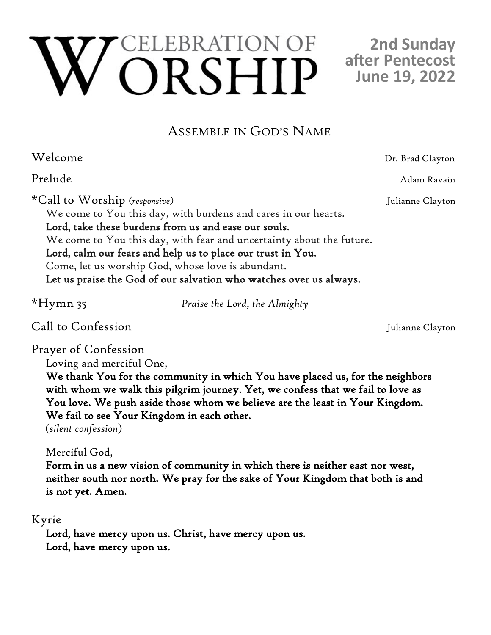# EBRATION OF ORSHIP

## **2nd Sunday after Pentecost June 19, 2022**

## ASSEMBLE IN GOD'S NAME

| Welcome                                                              | Dr. Brad Clayton |
|----------------------------------------------------------------------|------------------|
| Prelude                                                              | Adam Ravain      |
| *Call to Worship (responsive)                                        | Julianne Clayton |
| We come to You this day, with burdens and cares in our hearts.       |                  |
| Lord, take these burdens from us and ease our souls.                 |                  |
| We come to You this day, with fear and uncertainty about the future. |                  |
| Lord, calm our fears and help us to place our trust in You.          |                  |
| Come, let us worship God, whose love is abundant.                    |                  |
| Let us praise the God of our salvation who watches over us always.   |                  |
|                                                                      |                  |

Praise the Lord, the Almighty

Call to Confession Julianne Clayton

Prayer of Confession

Loving and merciful One,

We thank You for the community in which You have placed us, for the neighbors with whom we walk this pilgrim journey. Yet, we confess that we fail to love as You love. We push aside those whom we believe are the least in Your Kingdom. We fail to see Your Kingdom in each other.

(*silent confession*)

Merciful God,

Form in us a new vision of community in which there is neither east nor west, neither south nor north. We pray for the sake of Your Kingdom that both is and is not yet. Amen.

#### Kyrie

Lord, have mercy upon us. Christ, have mercy upon us. Lord, have mercy upon us.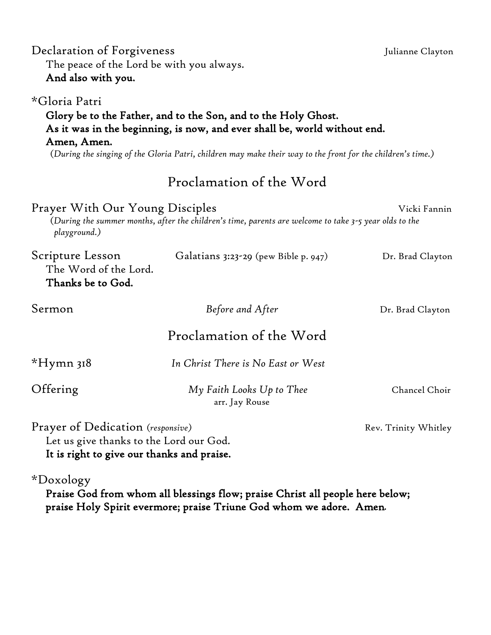| The peace of the Lord be with you always.<br>And also with you.                                                            |                                                                                                                                                                                                                                                            |                      |
|----------------------------------------------------------------------------------------------------------------------------|------------------------------------------------------------------------------------------------------------------------------------------------------------------------------------------------------------------------------------------------------------|----------------------|
| *Gloria Patri<br>Amen, Amen.                                                                                               | Glory be to the Father, and to the Son, and to the Holy Ghost.<br>As it was in the beginning, is now, and ever shall be, world without end.<br>(During the singing of the Gloria Patri, children may make their way to the front for the children's time.) |                      |
|                                                                                                                            | Proclamation of the Word                                                                                                                                                                                                                                   |                      |
| Prayer With Our Young Disciples<br>playground.)                                                                            | (During the summer months, after the children's time, parents are welcome to take 3-5 year olds to the                                                                                                                                                     | Vicki Fannin         |
| Scripture Lesson<br>The Word of the Lord.<br>Thanks be to God.                                                             | Galatians 3:23-29 (pew Bible p. 947)                                                                                                                                                                                                                       | Dr. Brad Clayton     |
| Sermon                                                                                                                     | Before and After                                                                                                                                                                                                                                           | Dr. Brad Clayton     |
|                                                                                                                            | Proclamation of the Word                                                                                                                                                                                                                                   |                      |
| $*$ Hymn 318                                                                                                               | In Christ There is No East or West                                                                                                                                                                                                                         |                      |
| Offering                                                                                                                   | My Faith Looks Up to Thee<br>arr. Jay Rouse                                                                                                                                                                                                                | Chancel Choir        |
| Prayer of Dedication (responsive)<br>Let us give thanks to the Lord our God.<br>It is right to give our thanks and praise. |                                                                                                                                                                                                                                                            | Rev. Trinity Whitley |
| $\sim$ $\sim$<br>$\sim$                                                                                                    |                                                                                                                                                                                                                                                            |                      |

Declaration of Forgiveness Julianne Clayton

\*Doxology

Praise God from whom all blessings flow; praise Christ all people here below; praise Holy Spirit evermore; praise Triune God whom we adore. Amen.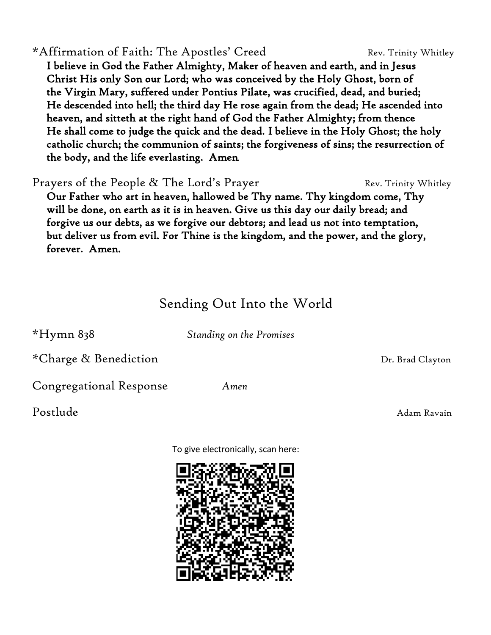### \*Affirmation of Faith: The Apostles' Creed Rev. Trinity Whitley

 I believe in God the Father Almighty, Maker of heaven and earth, and in Jesus Christ His only Son our Lord; who was conceived by the Holy Ghost, born of the Virgin Mary, suffered under Pontius Pilate, was crucified, dead, and buried; He descended into hell; the third day He rose again from the dead; He ascended into heaven, and sitteth at the right hand of God the Father Almighty; from thence He shall come to judge the quick and the dead. I believe in the Holy Ghost; the holy catholic church; the communion of saints; the forgiveness of sins; the resurrection of the body, and the life everlasting. Amen.

Prayers of the People & The Lord's Prayer Fraggetherry Rev. Trinity Whitley Our Father who art in heaven, hallowed be Thy name. Thy kingdom come, Thy will be done, on earth as it is in heaven. Give us this day our daily bread; and forgive us our debts, as we forgive our debtors; and lead us not into temptation, but deliver us from evil. For Thine is the kingdom, and the power, and the glory, forever. Amen.

## Sending Out Into the World

\*Hymn 838 *Standing on the Promises*

*\**Charge & Benediction **Dr. Brad Clayton** 

Congregational Response *Amen*

Postlude Adam Ravain and Adam Ravain and Adam Ravain and Adam Ravain and Adam Ravain

To give electronically, scan here: